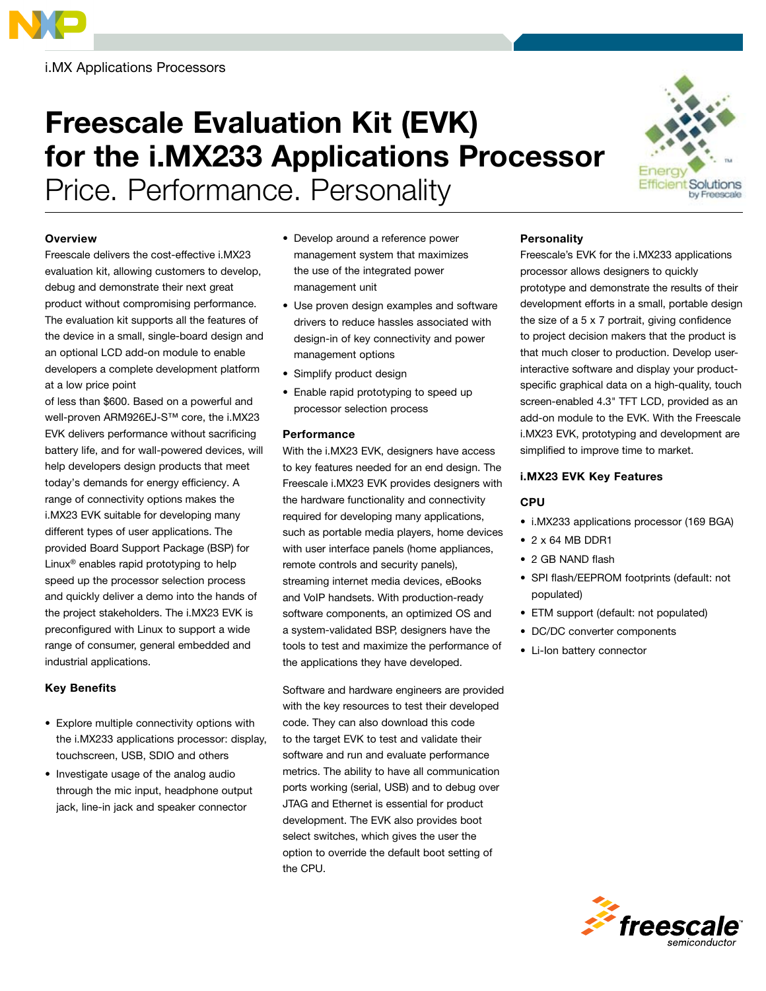

i.MX Applications Processors

# Freescale Evaluation Kit (EVK) for the i.MX233 Applications Processor

Price. Performance. Personality

#### **Overview**

Freescale delivers the cost-effective i.MX23 evaluation kit, allowing customers to develop, debug and demonstrate their next great product without compromising performance. The evaluation kit supports all the features of the device in a small, single-board design and an optional LCD add-on module to enable developers a complete development platform at a low price point

of less than \$600. Based on a powerful and well-proven ARM926EJ-S™ core, the i.MX23 EVK delivers performance without sacrificing battery life, and for wall-powered devices, will help developers design products that meet today's demands for energy efficiency. A range of connectivity options makes the i.MX23 EVK suitable for developing many different types of user applications. The provided Board Support Package (BSP) for Linux® enables rapid prototyping to help speed up the processor selection process and quickly deliver a demo into the hands of the project stakeholders. The i.MX23 EVK is preconfigured with Linux to support a wide range of consumer, general embedded and industrial applications.

#### Key Benefits

- Explore multiple connectivity options with the i.MX233 applications processor: display, touchscreen, USB, SDIO and others
- Investigate usage of the analog audio through the mic input, headphone output jack, line-in jack and speaker connector
- Develop around a reference power management system that maximizes the use of the integrated power management unit
- Use proven design examples and software drivers to reduce hassles associated with design-in of key connectivity and power management options
- Simplify product design
- Enable rapid prototyping to speed up processor selection process

#### **Performance**

With the i.MX23 EVK, designers have access to key features needed for an end design. The Freescale i.MX23 EVK provides designers with the hardware functionality and connectivity required for developing many applications, such as portable media players, home devices with user interface panels (home appliances, remote controls and security panels), streaming internet media devices, eBooks and VoIP handsets. With production-ready software components, an optimized OS and a system-validated BSP, designers have the tools to test and maximize the performance of the applications they have developed.

Software and hardware engineers are provided with the key resources to test their developed code. They can also download this code to the target EVK to test and validate their software and run and evaluate performance metrics. The ability to have all communication ports working (serial, USB) and to debug over JTAG and Ethernet is essential for product development. The EVK also provides boot select switches, which gives the user the option to override the default boot setting of the CPU.

## **Personality**

Freescale's EVK for the i.MX233 applications processor allows designers to quickly prototype and demonstrate the results of their development efforts in a small, portable design the size of a 5 x 7 portrait, giving confidence to project decision makers that the product is that much closer to production. Develop userinteractive software and display your productspecific graphical data on a high-quality, touch screen-enabled 4.3" TFT LCD, provided as an add-on module to the EVK. With the Freescale i.MX23 EVK, prototyping and development are simplified to improve time to market.

#### i.MX23 EVK Key Features

#### **CPU**

- i.MX233 applications processor (169 BGA)
- $\bullet$  2 x 64 MB DDR1
- 2 GB NAND flash
- SPI flash/EEPROM footprints (default: not populated)
- ETM support (default: not populated)
- DC/DC converter components
- Li-Ion battery connector